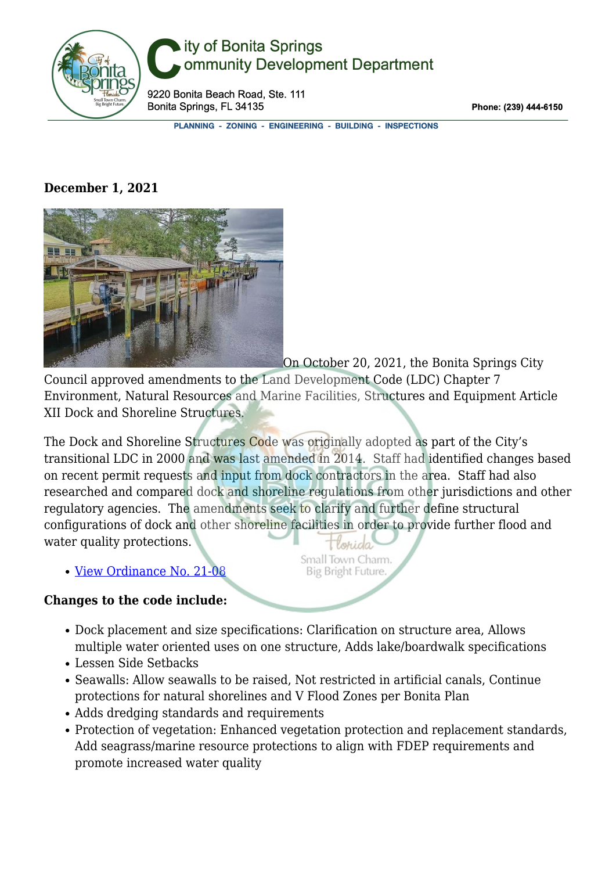

## ity of Bonita Springs ommunity Development Department

9220 Bonita Beach Road, Ste. 111 Bonita Springs, FL 34135

Phone: (239) 444-6150

PLANNING - ZONING - ENGINEERING - BUILDING - INSPECTIONS

## **December 1, 2021**



On October 20, 2021, the Bonita Springs City Council approved amendments to the Land Development Code (LDC) Chapter 7 Environment, Natural Resources and Marine Facilities, Structures and Equipment Article XII Dock and Shoreline Structures.

The Dock and Shoreline Structures Code was originally adopted as part of the City's transitional LDC in 2000 and was last amended in 2014. Staff had identified changes based on recent permit requests and input from dock contractors in the area. Staff had also researched and compared dock and shoreline regulations from other jurisdictions and other regulatory agencies. The amendments seek to clarify and further define structural configurations of dock and other shoreline facilities in order to provide further flood and water quality protections.

> Small Town Charm. **Big Bright Future**

• [View Ordinance No. 21-08](http://www.cityofbonitasprings.org/common/pages/DisplayFile.aspx?itemId=18161904)

## **Changes to the code include:**

- Dock placement and size specifications: Clarification on structure area, Allows multiple water oriented uses on one structure, Adds lake/boardwalk specifications
- Lessen Side Setbacks
- Seawalls: Allow seawalls to be raised, Not restricted in artificial canals, Continue protections for natural shorelines and V Flood Zones per Bonita Plan
- Adds dredging standards and requirements
- Protection of vegetation: Enhanced vegetation protection and replacement standards, Add seagrass/marine resource protections to align with FDEP requirements and promote increased water quality